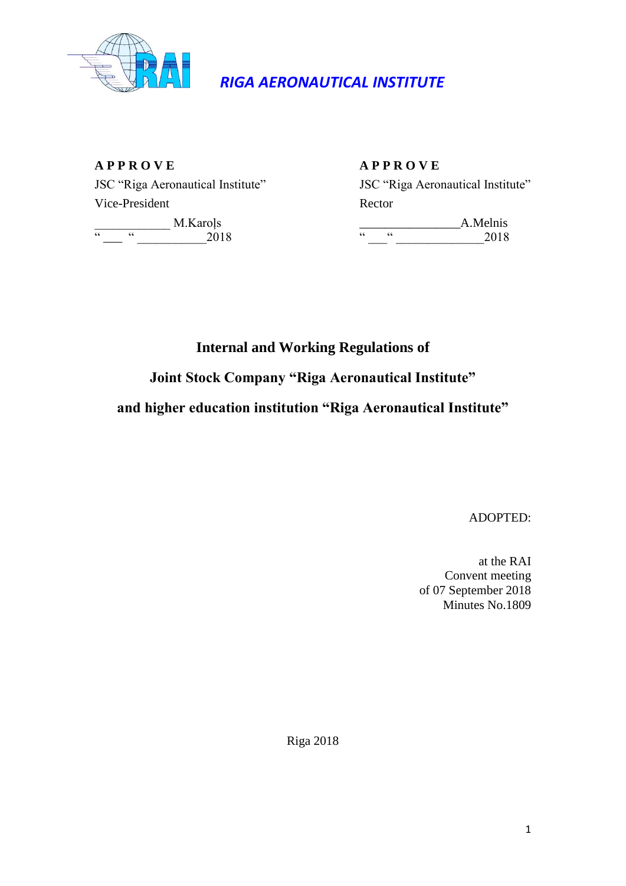

# *RIGA AERONAUTICAL INSTITUTE*

**A P P R O V E A P P R O V E** Vice-President Rector  $\frac{1}{\alpha}$  M.Karoļs  $\frac{1}{\alpha}$  A.Melnis  $\frac{1}{2018}$  M.Karojs  $\frac{1}{2018}$   $\frac{1}{2018}$  2018

# JSC "Riga Aeronautical Institute" JSC "Riga Aeronautical Institute"

**Internal and Working Regulations of**

**Joint Stock Company "Riga Aeronautical Institute"** 

**and higher education institution "Riga Aeronautical Institute"**

ADOPTED:

at the RAI Convent meeting of 07 September 2018 Minutes No.1809

Riga 2018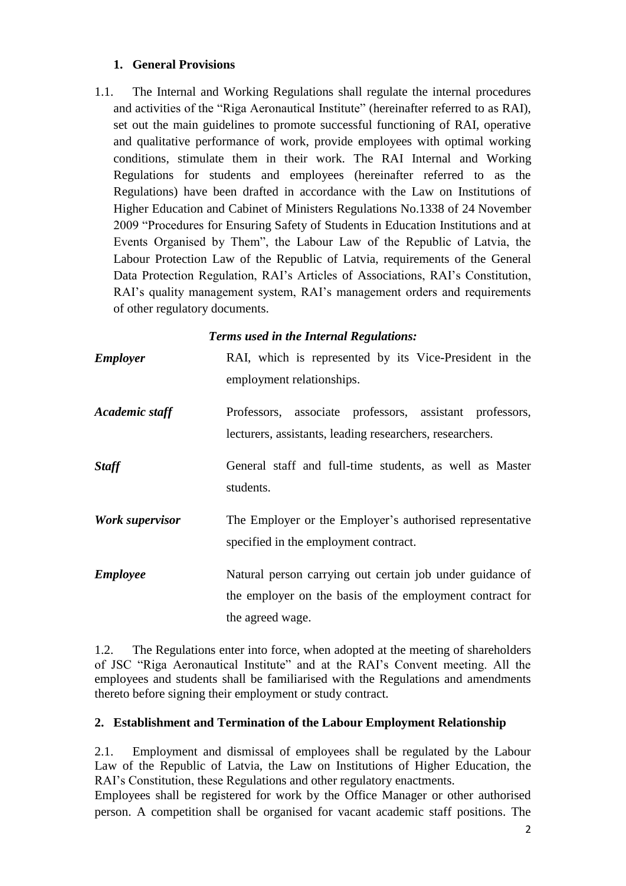## **1. General Provisions**

1.1. The Internal and Working Regulations shall regulate the internal procedures and activities of the "Riga Aeronautical Institute" (hereinafter referred to as RAI), set out the main guidelines to promote successful functioning of RAI, operative and qualitative performance of work, provide employees with optimal working conditions, stimulate them in their work. The RAI Internal and Working Regulations for students and employees (hereinafter referred to as the Regulations) have been drafted in accordance with the Law on Institutions of Higher Education and Cabinet of Ministers Regulations No.1338 of 24 November 2009 "Procedures for Ensuring Safety of Students in Education Institutions and at Events Organised by Them", the Labour Law of the Republic of Latvia, the Labour Protection Law of the Republic of Latvia, requirements of the General Data Protection Regulation, RAI's Articles of Associations, RAI's Constitution, RAI's quality management system, RAI's management orders and requirements of other regulatory documents.

## *Terms used in the Internal Regulations:*

| <b>Employer</b> | RAI, which is represented by its Vice-President in the<br>employment relationships.                                                       |
|-----------------|-------------------------------------------------------------------------------------------------------------------------------------------|
| Academic staff  | Professors, associate professors, assistant professors,<br>lecturers, assistants, leading researchers, researchers.                       |
| <b>Staff</b>    | General staff and full-time students, as well as Master<br>students.                                                                      |
| Work supervisor | The Employer or the Employer's authorised representative<br>specified in the employment contract.                                         |
| <b>Employee</b> | Natural person carrying out certain job under guidance of<br>the employer on the basis of the employment contract for<br>the agreed wage. |

1.2. The Regulations enter into force, when adopted at the meeting of shareholders of JSC "Riga Aeronautical Institute" and at the RAI's Convent meeting. All the employees and students shall be familiarised with the Regulations and amendments thereto before signing their employment or study contract.

# **2. Establishment and Termination of the Labour Employment Relationship**

2.1. Employment and dismissal of employees shall be regulated by the Labour Law of the Republic of Latvia, the Law on Institutions of Higher Education, the RAI's Constitution, these Regulations and other regulatory enactments.

Employees shall be registered for work by the Office Manager or other authorised person. A competition shall be organised for vacant academic staff positions. The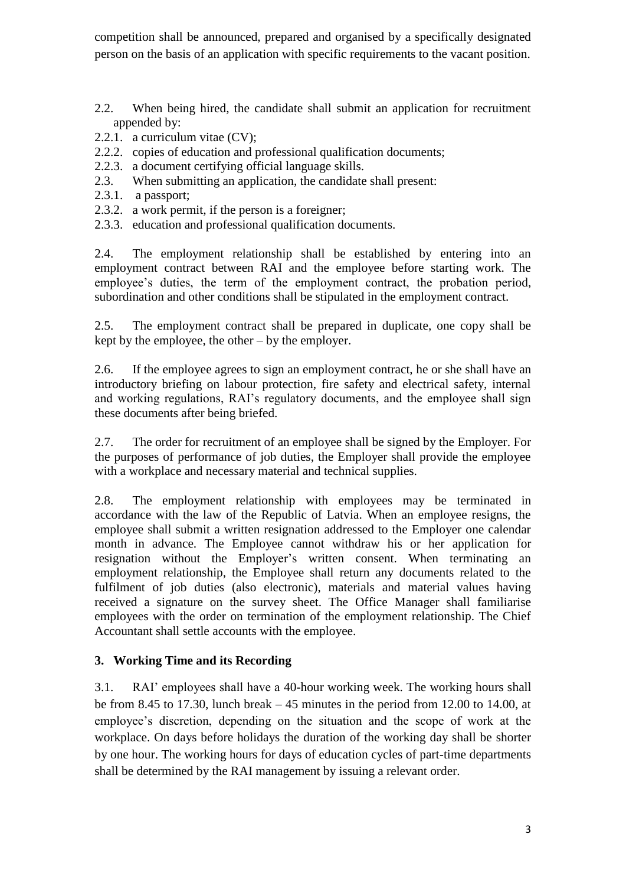competition shall be announced, prepared and organised by a specifically designated person on the basis of an application with specific requirements to the vacant position.

- 2.2. When being hired, the candidate shall submit an application for recruitment appended by:
- 2.2.1. a curriculum vitae (CV);
- 2.2.2. copies of education and professional qualification documents;
- 2.2.3. a document certifying official language skills.
- 2.3. When submitting an application, the candidate shall present:
- 2.3.1. a passport;
- 2.3.2. a work permit, if the person is a foreigner;
- 2.3.3. education and professional qualification documents.

2.4. The employment relationship shall be established by entering into an employment contract between RAI and the employee before starting work. The employee's duties, the term of the employment contract, the probation period, subordination and other conditions shall be stipulated in the employment contract.

2.5. The employment contract shall be prepared in duplicate, one copy shall be kept by the employee, the other – by the employer.

2.6. If the employee agrees to sign an employment contract, he or she shall have an introductory briefing on labour protection, fire safety and electrical safety, internal and working regulations, RAI's regulatory documents, and the employee shall sign these documents after being briefed.

2.7. The order for recruitment of an employee shall be signed by the Employer. For the purposes of performance of job duties, the Employer shall provide the employee with a workplace and necessary material and technical supplies.

2.8. The employment relationship with employees may be terminated in accordance with the law of the Republic of Latvia. When an employee resigns, the employee shall submit a written resignation addressed to the Employer one calendar month in advance. The Employee cannot withdraw his or her application for resignation without the Employer's written consent. When terminating an employment relationship, the Employee shall return any documents related to the fulfilment of job duties (also electronic), materials and material values having received a signature on the survey sheet. The Office Manager shall familiarise employees with the order on termination of the employment relationship. The Chief Accountant shall settle accounts with the employee.

# **3. Working Time and its Recording**

3.1. RAI' employees shall have a 40-hour working week. The working hours shall be from 8.45 to 17.30, lunch break – 45 minutes in the period from 12.00 to 14.00, at employee's discretion, depending on the situation and the scope of work at the workplace. On days before holidays the duration of the working day shall be shorter by one hour. The working hours for days of education cycles of part-time departments shall be determined by the RAI management by issuing a relevant order.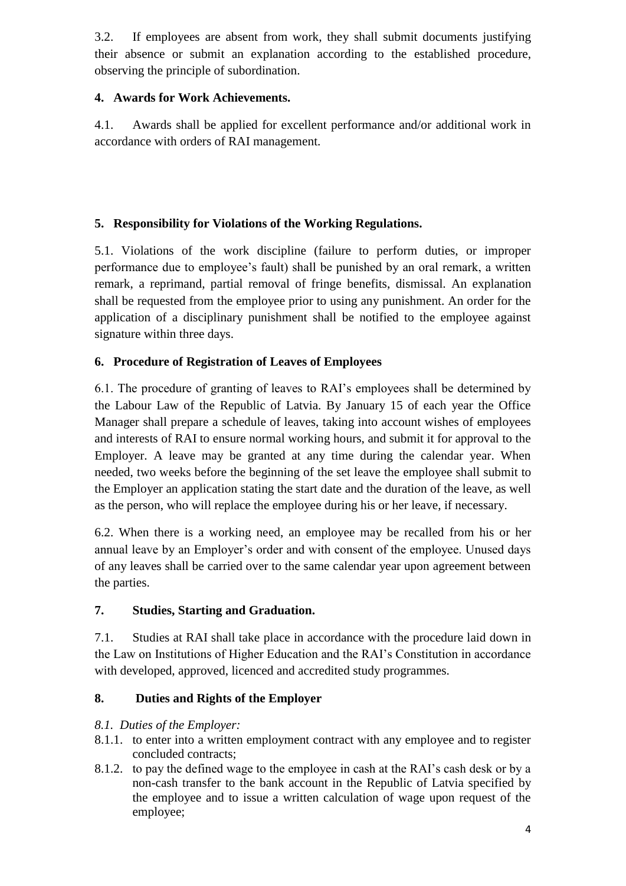3.2. If employees are absent from work, they shall submit documents justifying their absence or submit an explanation according to the established procedure, observing the principle of subordination.

# **4. Awards for Work Achievements.**

4.1. Awards shall be applied for excellent performance and/or additional work in accordance with orders of RAI management.

# **5. Responsibility for Violations of the Working Regulations.**

5.1. Violations of the work discipline (failure to perform duties, or improper performance due to employee's fault) shall be punished by an oral remark, a written remark, a reprimand, partial removal of fringe benefits, dismissal. An explanation shall be requested from the employee prior to using any punishment. An order for the application of a disciplinary punishment shall be notified to the employee against signature within three days.

# **6. Procedure of Registration of Leaves of Employees**

6.1. The procedure of granting of leaves to RAI's employees shall be determined by the Labour Law of the Republic of Latvia. By January 15 of each year the Office Manager shall prepare a schedule of leaves, taking into account wishes of employees and interests of RAI to ensure normal working hours, and submit it for approval to the Employer. A leave may be granted at any time during the calendar year. When needed, two weeks before the beginning of the set leave the employee shall submit to the Employer an application stating the start date and the duration of the leave, as well as the person, who will replace the employee during his or her leave, if necessary.

6.2. When there is a working need, an employee may be recalled from his or her annual leave by an Employer's order and with consent of the employee. Unused days of any leaves shall be carried over to the same calendar year upon agreement between the parties.

# **7. Studies, Starting and Graduation.**

7.1. Studies at RAI shall take place in accordance with the procedure laid down in the Law on Institutions of Higher Education and the RAI's Constitution in accordance with developed, approved, licenced and accredited study programmes.

# **8. Duties and Rights of the Employer**

# *8.1. Duties of the Employer:*

- 8.1.1. to enter into a written employment contract with any employee and to register concluded contracts;
- 8.1.2. to pay the defined wage to the employee in cash at the RAI's cash desk or by a non-cash transfer to the bank account in the Republic of Latvia specified by the employee and to issue a written calculation of wage upon request of the employee;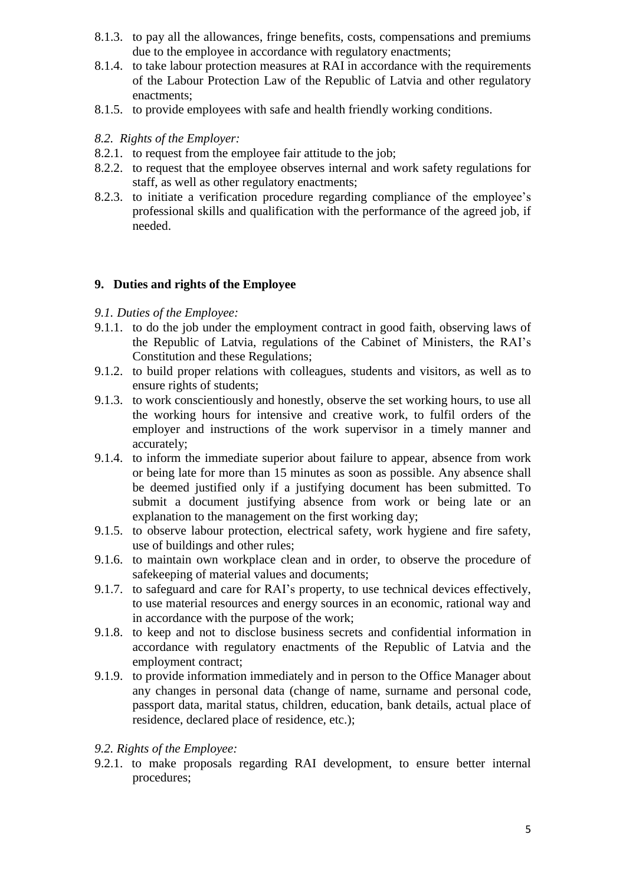- 8.1.3. to pay all the allowances, fringe benefits, costs, compensations and premiums due to the employee in accordance with regulatory enactments;
- 8.1.4. to take labour protection measures at RAI in accordance with the requirements of the Labour Protection Law of the Republic of Latvia and other regulatory enactments;
- 8.1.5. to provide employees with safe and health friendly working conditions.

#### *8.2. Rights of the Employer:*

- 8.2.1. to request from the employee fair attitude to the job;
- 8.2.2. to request that the employee observes internal and work safety regulations for staff, as well as other regulatory enactments;
- 8.2.3. to initiate a verification procedure regarding compliance of the employee's professional skills and qualification with the performance of the agreed job, if needed.

#### **9. Duties and rights of the Employee**

- *9.1. Duties of the Employee:*
- 9.1.1. to do the job under the employment contract in good faith, observing laws of the Republic of Latvia, regulations of the Cabinet of Ministers, the RAI's Constitution and these Regulations;
- 9.1.2. to build proper relations with colleagues, students and visitors, as well as to ensure rights of students;
- 9.1.3. to work conscientiously and honestly, observe the set working hours, to use all the working hours for intensive and creative work, to fulfil orders of the employer and instructions of the work supervisor in a timely manner and accurately;
- 9.1.4. to inform the immediate superior about failure to appear, absence from work or being late for more than 15 minutes as soon as possible. Any absence shall be deemed justified only if a justifying document has been submitted. To submit a document justifying absence from work or being late or an explanation to the management on the first working day;
- 9.1.5. to observe labour protection, electrical safety, work hygiene and fire safety, use of buildings and other rules;
- 9.1.6. to maintain own workplace clean and in order, to observe the procedure of safekeeping of material values and documents;
- 9.1.7. to safeguard and care for RAI's property, to use technical devices effectively, to use material resources and energy sources in an economic, rational way and in accordance with the purpose of the work;
- 9.1.8. to keep and not to disclose business secrets and confidential information in accordance with regulatory enactments of the Republic of Latvia and the employment contract;
- 9.1.9. to provide information immediately and in person to the Office Manager about any changes in personal data (change of name, surname and personal code, passport data, marital status, children, education, bank details, actual place of residence, declared place of residence, etc.);
- *9.2. Rights of the Employee:*
- 9.2.1. to make proposals regarding RAI development, to ensure better internal procedures;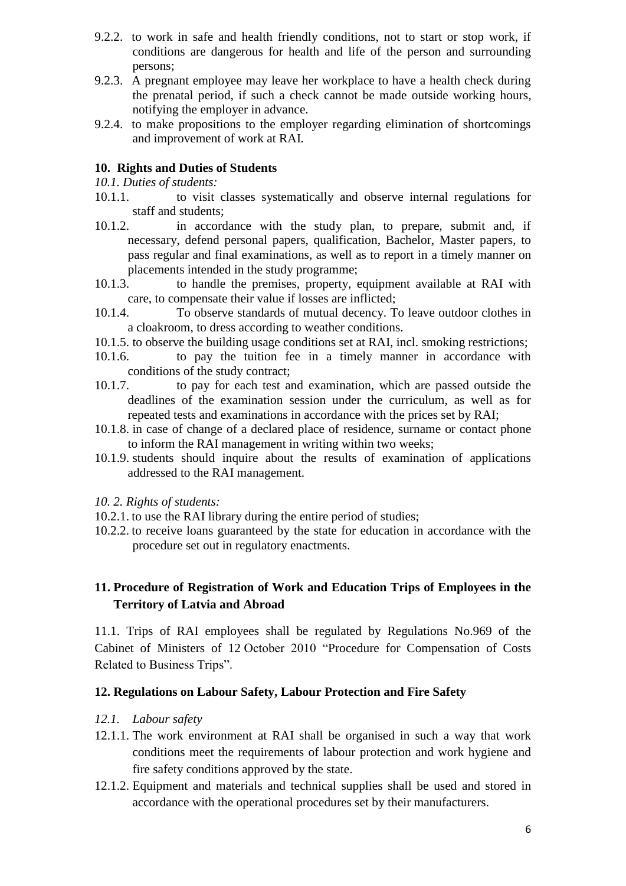- 9.2.2. to work in safe and health friendly conditions, not to start or stop work, if conditions are dangerous for health and life of the person and surrounding persons;
- 9.2.3. A pregnant employee may leave her workplace to have a health check during the prenatal period, if such a check cannot be made outside working hours, notifying the employer in advance.
- 9.2.4. to make propositions to the employer regarding elimination of shortcomings and improvement of work at RAI.

#### **10. Rights and Duties of Students**

*10.1. Duties of students:*

- 10.1.1. to visit classes systematically and observe internal regulations for staff and students;
- 10.1.2. in accordance with the study plan, to prepare, submit and, if necessary, defend personal papers, qualification, Bachelor, Master papers, to pass regular and final examinations, as well as to report in a timely manner on placements intended in the study programme;
- 10.1.3. to handle the premises, property, equipment available at RAI with care, to compensate their value if losses are inflicted;
- 10.1.4. To observe standards of mutual decency. To leave outdoor clothes in a cloakroom, to dress according to weather conditions.
- 10.1.5. to observe the building usage conditions set at RAI, incl. smoking restrictions;
- 10.1.6. to pay the tuition fee in a timely manner in accordance with conditions of the study contract;
- 10.1.7. to pay for each test and examination, which are passed outside the deadlines of the examination session under the curriculum, as well as for repeated tests and examinations in accordance with the prices set by RAI;
- 10.1.8. in case of change of a declared place of residence, surname or contact phone to inform the RAI management in writing within two weeks;
- 10.1.9. students should inquire about the results of examination of applications addressed to the RAI management.
- *10. 2. Rights of students:*
- 10.2.1. to use the RAI library during the entire period of studies;
- 10.2.2. to receive loans guaranteed by the state for education in accordance with the procedure set out in regulatory enactments.

# **11. Procedure of Registration of Work and Education Trips of Employees in the Territory of Latvia and Abroad**

11.1. Trips of RAI employees shall be regulated by Regulations No.969 of the Cabinet of Ministers of 12 October 2010 "Procedure for Compensation of Costs Related to Business Trips".

### **12. Regulations on Labour Safety, Labour Protection and Fire Safety**

- *12.1. Labour safety*
- 12.1.1. The work environment at RAI shall be organised in such a way that work conditions meet the requirements of labour protection and work hygiene and fire safety conditions approved by the state.
- 12.1.2. Equipment and materials and technical supplies shall be used and stored in accordance with the operational procedures set by their manufacturers.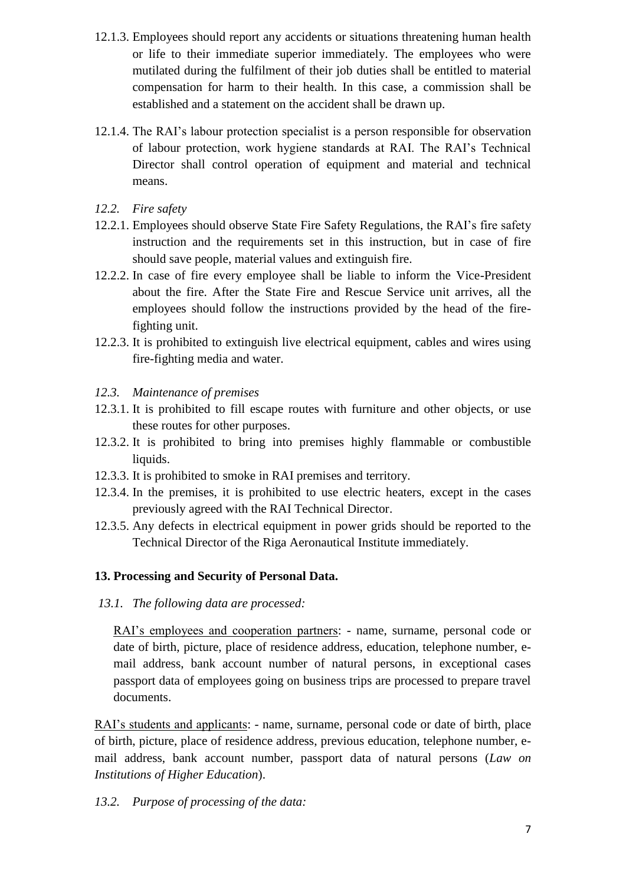- 12.1.3. Employees should report any accidents or situations threatening human health or life to their immediate superior immediately. The employees who were mutilated during the fulfilment of their job duties shall be entitled to material compensation for harm to their health. In this case, a commission shall be established and a statement on the accident shall be drawn up.
- 12.1.4. The RAI's labour protection specialist is a person responsible for observation of labour protection, work hygiene standards at RAI. The RAI's Technical Director shall control operation of equipment and material and technical means.
- *12.2. Fire safety*
- 12.2.1. Employees should observe State Fire Safety Regulations, the RAI's fire safety instruction and the requirements set in this instruction, but in case of fire should save people, material values and extinguish fire.
- 12.2.2. In case of fire every employee shall be liable to inform the Vice-President about the fire. After the State Fire and Rescue Service unit arrives, all the employees should follow the instructions provided by the head of the firefighting unit.
- 12.2.3. It is prohibited to extinguish live electrical equipment, cables and wires using fire-fighting media and water.
- *12.3. Maintenance of premises*
- 12.3.1. It is prohibited to fill escape routes with furniture and other objects, or use these routes for other purposes.
- 12.3.2. It is prohibited to bring into premises highly flammable or combustible liquids.
- 12.3.3. It is prohibited to smoke in RAI premises and territory.
- 12.3.4. In the premises, it is prohibited to use electric heaters, except in the cases previously agreed with the RAI Technical Director.
- 12.3.5. Any defects in electrical equipment in power grids should be reported to the Technical Director of the Riga Aeronautical Institute immediately.

# **13. Processing and Security of Personal Data.**

*13.1. The following data are processed:*

RAI's employees and cooperation partners: - name, surname, personal code or date of birth, picture, place of residence address, education, telephone number, email address, bank account number of natural persons, in exceptional cases passport data of employees going on business trips are processed to prepare travel documents.

RAI's students and applicants: - name, surname, personal code or date of birth, place of birth, picture, place of residence address, previous education, telephone number, email address, bank account number, passport data of natural persons (*Law on Institutions of Higher Education*).

*13.2. Purpose of processing of the data:*